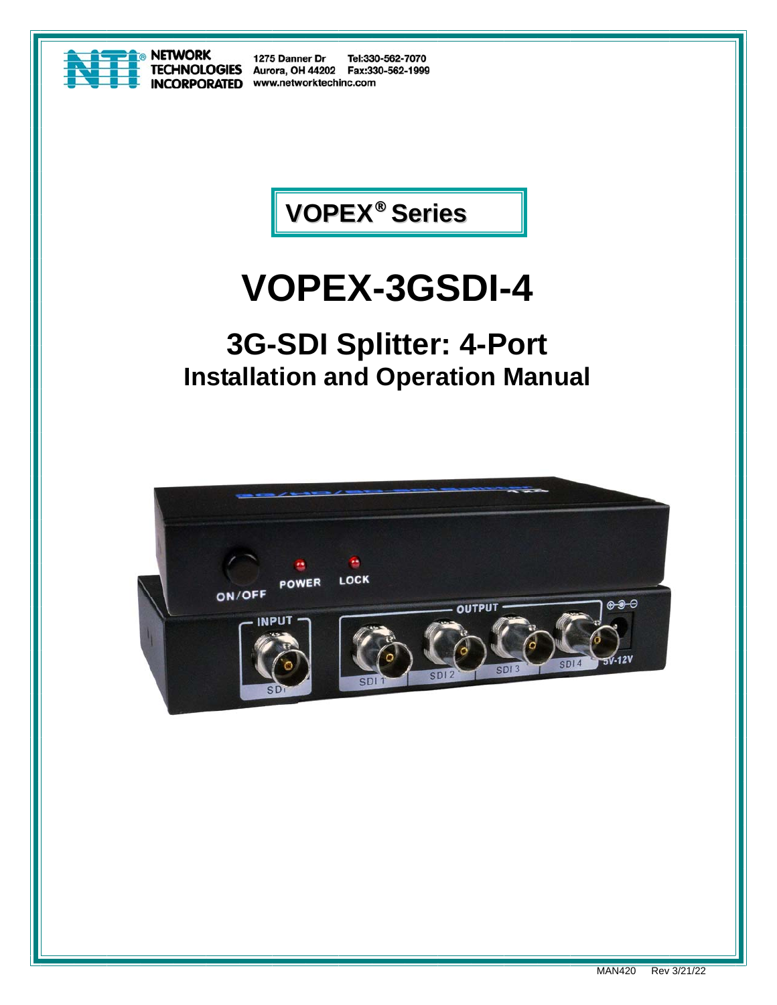

1275 Danner Dr Tel:330-562-7070 TECHNOLOGIES Aurora, OH 44202 Fax:330-562-1999 **INCORPORATED** www.networktechinc.com



# **VOPEX-3GSDI-4**

## **3G-SDI Splitter: 4-Port Installation and Operation Manual**

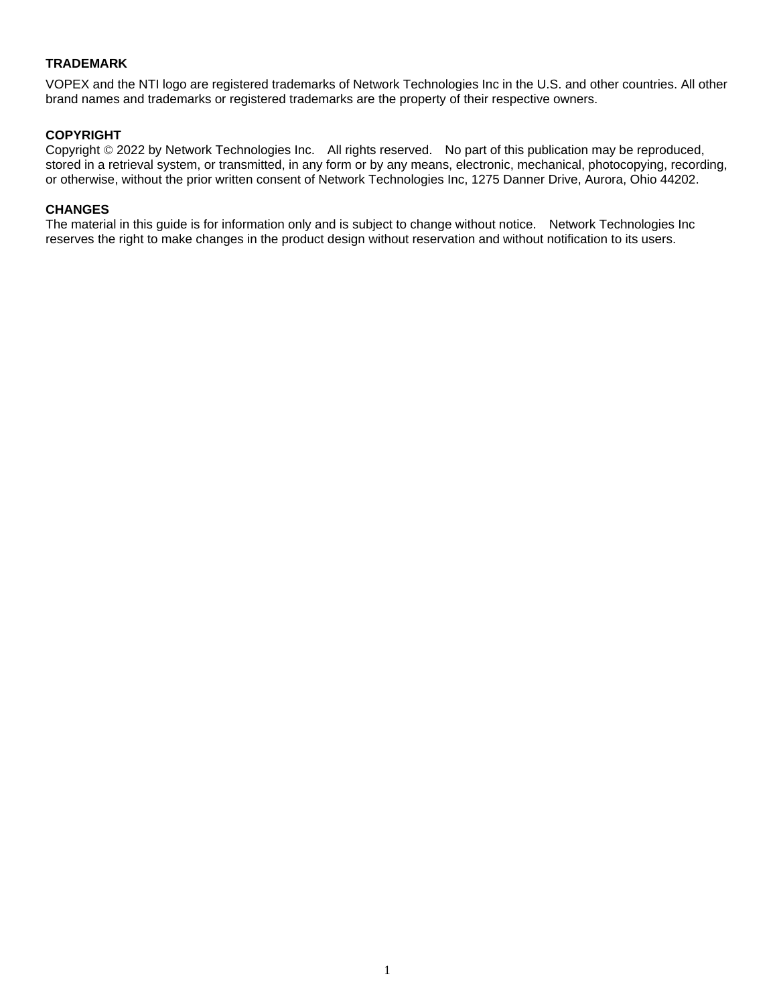#### **TRADEMARK**

VOPEX and the NTI logo are registered trademarks of Network Technologies Inc in the U.S. and other countries. All other brand names and trademarks or registered trademarks are the property of their respective owners.

#### **COPYRIGHT**

Copyright © 2022 by Network Technologies Inc. All rights reserved. No part of this publication may be reproduced, stored in a retrieval system, or transmitted, in any form or by any means, electronic, mechanical, photocopying, recording, or otherwise, without the prior written consent of Network Technologies Inc, 1275 Danner Drive, Aurora, Ohio 44202.

#### **CHANGES**

The material in this guide is for information only and is subject to change without notice. Network Technologies Inc reserves the right to make changes in the product design without reservation and without notification to its users.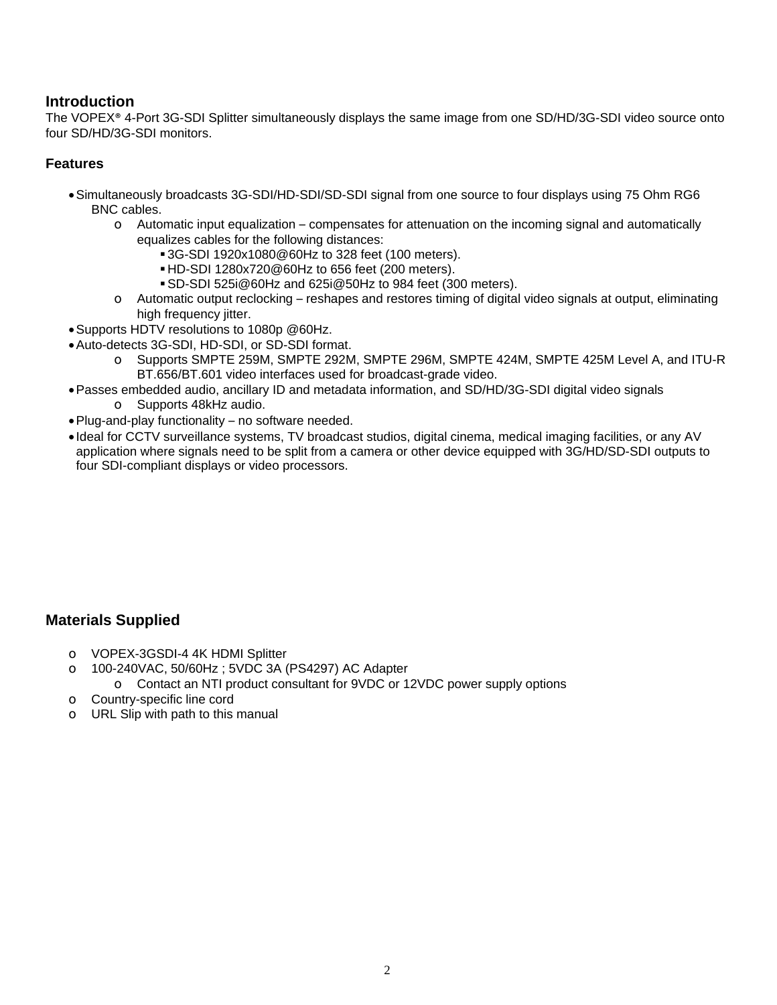#### **Introduction**

The VOPEX® 4-Port 3G-SDI Splitter simultaneously displays the same image from one SD/HD/3G-SDI video source onto four SD/HD/3G-SDI monitors.

#### **Features**

- Simultaneously broadcasts 3G-SDI/HD-SDI/SD-SDI signal from one source to four displays using 75 Ohm RG6 BNC cables.
	- $\circ$  Automatic input equalization compensates for attenuation on the incoming signal and automatically equalizes cables for the following distances:
		- 3G-SDI 1920x1080@60Hz to 328 feet (100 meters).
		- HD-SDI 1280x720@60Hz to 656 feet (200 meters).
		- SD-SDI 525i@60Hz and 625i@50Hz to 984 feet (300 meters).
	- o Automatic output reclocking reshapes and restores timing of digital video signals at output, eliminating high frequency jitter.
- Supports HDTV resolutions to 1080p @60Hz.
- Auto-detects 3G-SDI, HD-SDI, or SD-SDI format.
	- o Supports SMPTE 259M, SMPTE 292M, SMPTE 296M, SMPTE 424M, SMPTE 425M Level A, and ITU-R BT.656/BT.601 video interfaces used for broadcast-grade video.
- Passes embedded audio, ancillary ID and metadata information, and SD/HD/3G-SDI digital video signals
	- o Supports 48kHz audio.
- Plug-and-play functionality no software needed.
- Ideal for CCTV surveillance systems, TV broadcast studios, digital cinema, medical imaging facilities, or any AV application where signals need to be split from a camera or other device equipped with 3G/HD/SD-SDI outputs to four SDI-compliant displays or video processors.

#### **Materials Supplied**

- o VOPEX-3GSDI-4 4K HDMI Splitter
- o 100-240VAC, 50/60Hz ; 5VDC 3A (PS4297) AC Adapter
	- o Contact an NTI product consultant for 9VDC or 12VDC power supply options
- o Country-specific line cord
- o URL Slip with path to this manual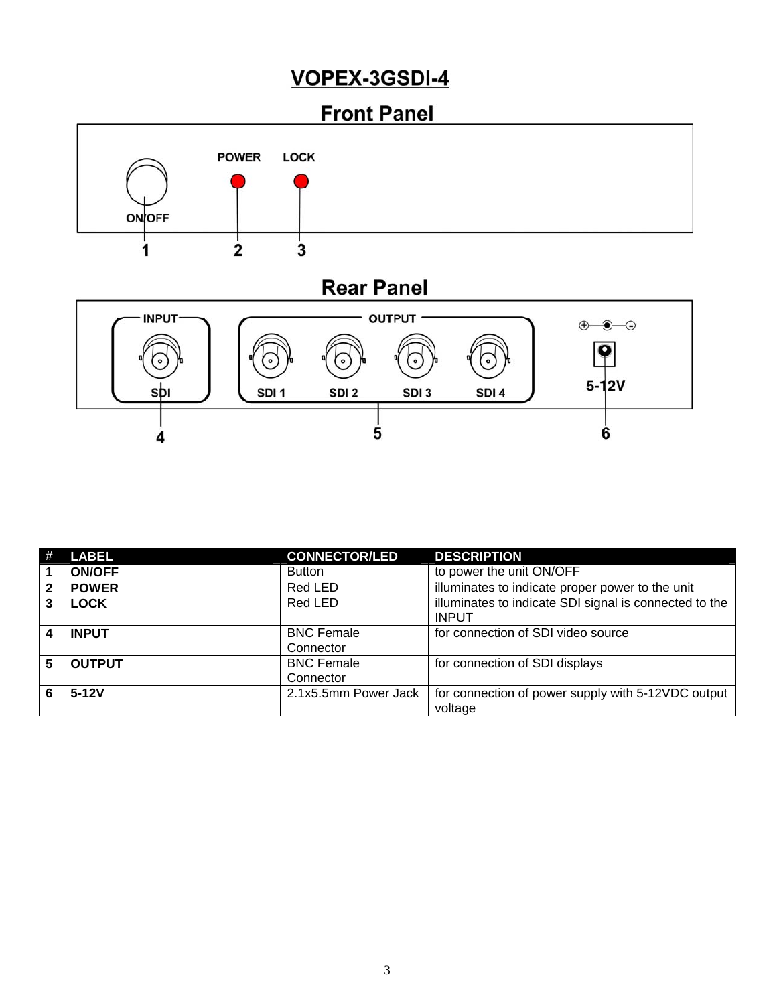### VOPEX-3GSDI-4



 $\overline{\mathbf{4}}$ 

6

|                        | <b>LABEL</b>  | <b>CONNECTOR/LED</b> | <b>DESCRIPTION</b>                                                     |
|------------------------|---------------|----------------------|------------------------------------------------------------------------|
|                        | <b>ON/OFF</b> | <b>Button</b>        | to power the unit ON/OFF                                               |
| $\mathbf{2}$           | <b>POWER</b>  | Red LED              | illuminates to indicate proper power to the unit                       |
| 3                      | <b>LOCK</b>   | Red LED              | illuminates to indicate SDI signal is connected to the<br><b>INPUT</b> |
| $\boldsymbol{\Lambda}$ | <b>INPUT</b>  | <b>BNC Female</b>    | for connection of SDI video source                                     |
|                        |               | Connector            |                                                                        |
| 5                      | <b>OUTPUT</b> | <b>BNC Female</b>    | for connection of SDI displays                                         |
|                        |               | Connector            |                                                                        |
| 6                      | $5-12V$       | 2.1x5.5mm Power Jack | for connection of power supply with 5-12VDC output                     |
|                        |               |                      | voltage                                                                |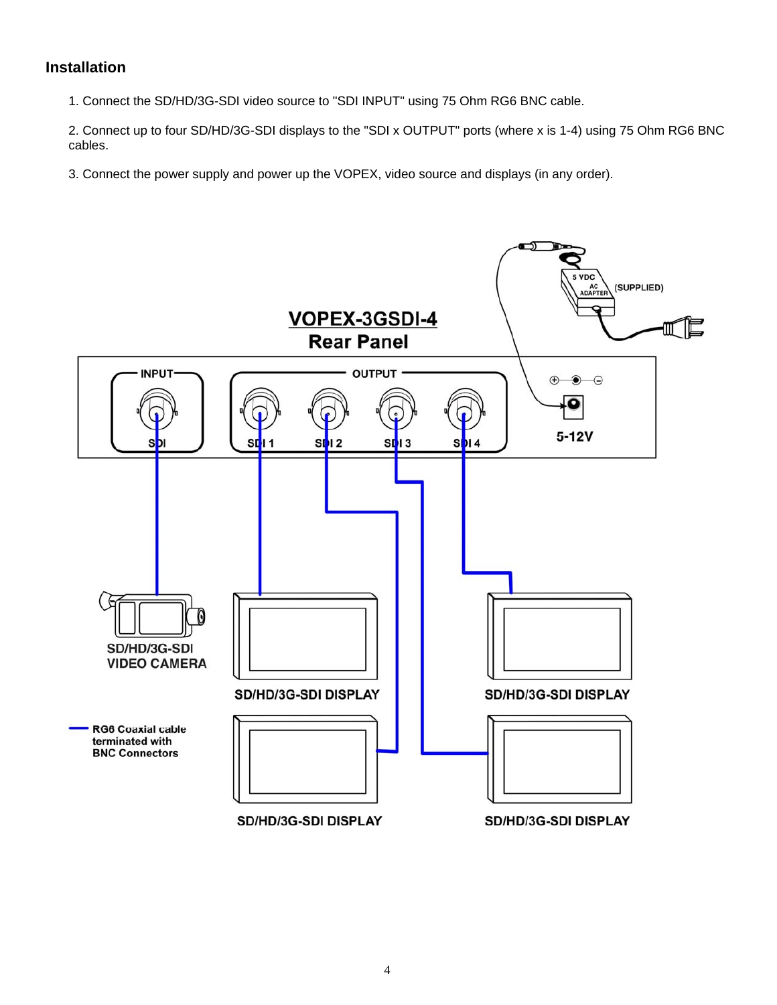#### **Installation**

1. Connect the SD/HD/3G-SDI video source to "SDI INPUT" using 75 Ohm RG6 BNC cable.

2. Connect up to four SD/HD/3G-SDI displays to the "SDI x OUTPUT" ports (where x is 1-4) using 75 Ohm RG6 BNC cables.

3. Connect the power supply and power up the VOPEX, video source and displays (in any order).